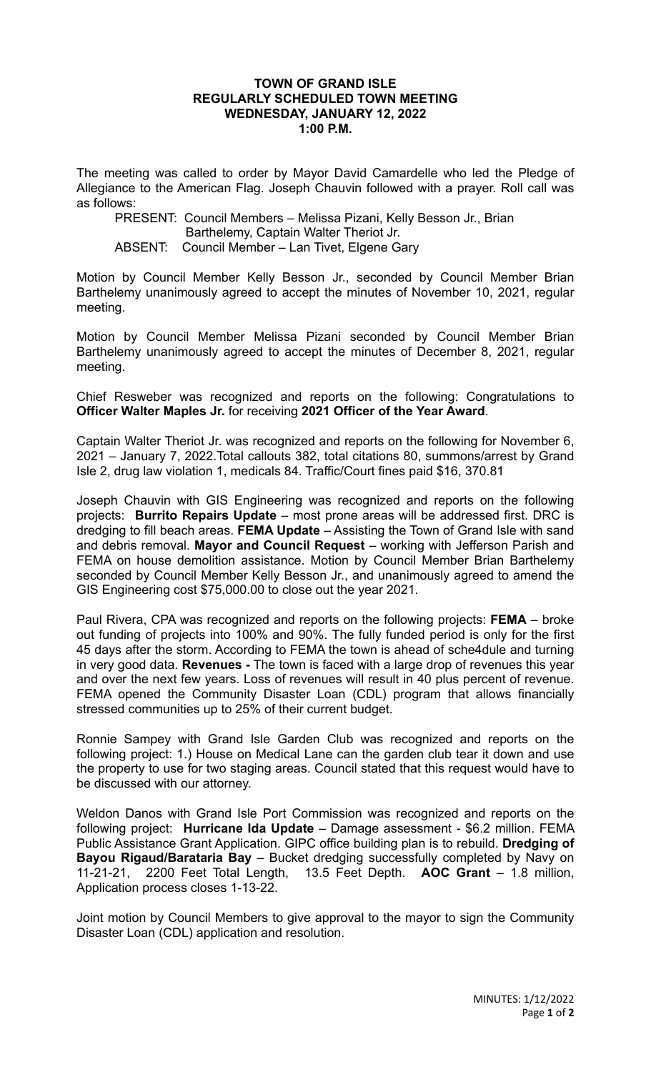## **TOWN OF GRAND ISLE REGULARLY SCHEDULED TOWN MEETING WEDNESDAY, JANUARY 12, 2022 1:00 P.M.**

The meeting was called to order by Mayor David Camardelle who led the Pledge of Allegiance to the American Flag. Joseph Chauvin followed with a prayer. Roll call was as follows:

PRESENT: Council Members – Melissa Pizani, Kelly Besson Jr., Brian Barthelemy, Captain Walter Theriot Jr. ABSENT: Council Member – Lan Tivet, Elgene Gary

Motion by Council Member Kelly Besson Jr., seconded by Council Member Brian Barthelemy unanimously agreed to accept the minutes of November 10, 2021, regular meeting.

Motion by Council Member Melissa Pizani seconded by Council Member Brian Barthelemy unanimously agreed to accept the minutes of December 8, 2021, regular meeting.

Chief Resweber was recognized and reports on the following: Congratulations to **Officer Walter Maples Jr.** for receiving **2021 Officer of the Year Award**.

Captain Walter Theriot Jr. was recognized and reports on the following for November 6, 2021 – January 7, 2022.Total callouts 382, total citations 80, summons/arrest by Grand Isle 2, drug law violation 1, medicals 84. Traffic/Court fines paid \$16, 370.81

Joseph Chauvin with GIS Engineering was recognized and reports on the following projects: **Burrito Repairs Update** – most prone areas will be addressed first. DRC is dredging to fill beach areas. **FEMA Update** – Assisting the Town of Grand Isle with sand and debris removal. **Mayor and Council Request** – working with Jefferson Parish and FEMA on house demolition assistance. Motion by Council Member Brian Barthelemy seconded by Council Member Kelly Besson Jr., and unanimously agreed to amend the GIS Engineering cost \$75,000.00 to close out the year 2021.

Paul Rivera, CPA was recognized and reports on the following projects: **FEMA** – broke out funding of projects into 100% and 90%. The fully funded period is only for the first 45 days after the storm. According to FEMA the town is ahead of sche4dule and turning in very good data. **Revenues -** The town is faced with a large drop of revenues this year and over the next few years. Loss of revenues will result in 40 plus percent of revenue. FEMA opened the Community Disaster Loan (CDL) program that allows financially stressed communities up to 25% of their current budget.

Ronnie Sampey with Grand Isle Garden Club was recognized and reports on the following project: 1.) House on Medical Lane can the garden club tear it down and use the property to use for two staging areas. Council stated that this request would have to be discussed with our attorney.

Weldon Danos with Grand Isle Port Commission was recognized and reports on the following project: **Hurricane Ida Update** – Damage assessment - \$6.2 million. FEMA Public Assistance Grant Application. GIPC office building plan is to rebuild. **Dredging of Bayou Rigaud/Barataria Bay** – Bucket dredging successfully completed by Navy on 11-21-21, 2200 Feet Total Length, 13.5 Feet Depth. **AOC Grant** – 1.8 million, Application process closes 1-13-22.

Joint motion by Council Members to give approval to the mayor to sign the Community Disaster Loan (CDL) application and resolution.